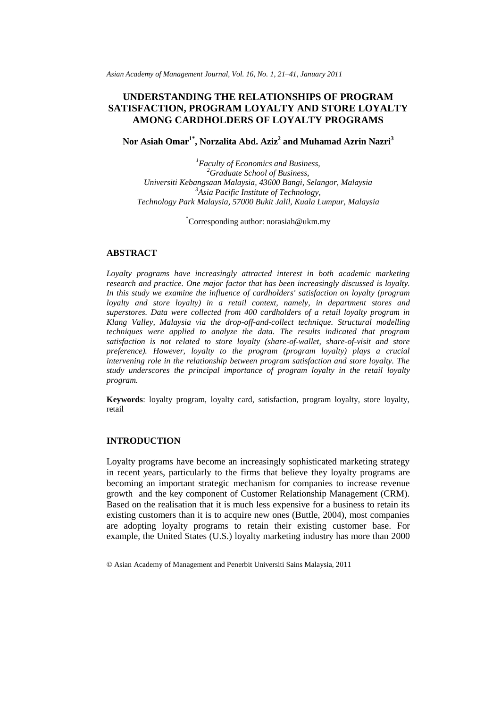*Asian Academy of Management Journal, Vol. 16, No. 1, 21–41, January 2011*

# **UNDERSTANDING THE RELATIONSHIPS OF PROGRAM SATISFACTION, PROGRAM LOYALTY AND STORE LOYALTY AMONG CARDHOLDERS OF LOYALTY PROGRAMS**

**Nor Asiah Omar1\* , Norzalita Abd. Aziz<sup>2</sup> and Muhamad Azrin Nazri<sup>3</sup>**

*<sup>1</sup>Faculty of Economics and Business, <sup>2</sup>Graduate School of Business, Universiti Kebangsaan Malaysia, 43600 Bangi, Selangor, Malaysia <sup>3</sup>Asia Pacific Institute of Technology, Technology Park Malaysia, 57000 Bukit Jalil, Kuala Lumpur, Malaysia*

\*Corresponding author: norasiah@ukm.my

# **ABSTRACT**

*Loyalty programs have increasingly attracted interest in both academic marketing research and practice. One major factor that has been increasingly discussed is loyalty. In this study we examine the influence of cardholders' satisfaction on loyalty (program loyalty and store loyalty) in a retail context, namely, in department stores and superstores. Data were collected from 400 cardholders of a retail loyalty program in Klang Valley, Malaysia via the drop-off-and-collect technique. Structural modelling techniques were applied to analyze the data. The results indicated that program satisfaction is not related to store loyalty (share-of-wallet, share-of-visit and store preference). However, loyalty to the program (program loyalty) plays a crucial intervening role in the relationship between program satisfaction and store loyalty. The study underscores the principal importance of program loyalty in the retail loyalty program.* 

**Keywords**: loyalty program, loyalty card, satisfaction, program loyalty, store loyalty, retail

## **INTRODUCTION**

Loyalty programs have become an increasingly sophisticated marketing strategy in recent years, particularly to the firms that believe they loyalty programs are becoming an important strategic mechanism for companies to increase revenue growth and the key component of Customer Relationship Management (CRM). Based on the realisation that it is much less expensive for a business to retain its existing customers than it is to acquire new ones (Buttle, 2004), most companies are adopting loyalty programs to retain their existing customer base. For example, the United States (U.S.) loyalty marketing industry has more than 2000

<sup>©</sup> Asian Academy of Management and Penerbit Universiti Sains Malaysia, 2011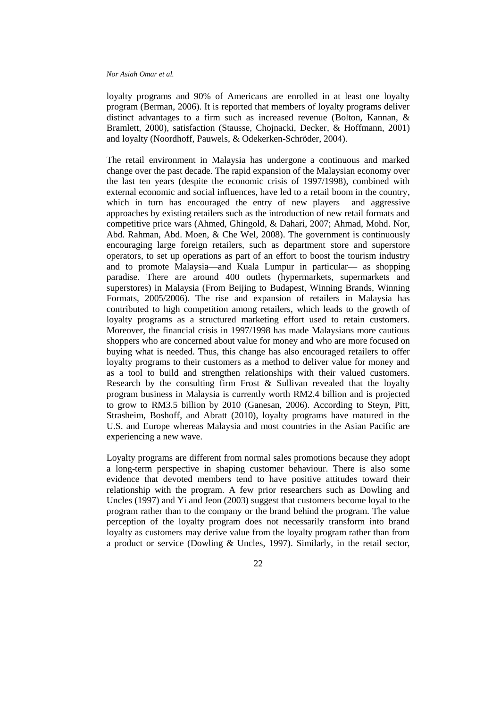loyalty programs and 90% of Americans are enrolled in at least one loyalty program (Berman, 2006). It is reported that members of loyalty programs deliver distinct advantages to a firm such as increased revenue (Bolton, Kannan, & Bramlett, 2000), satisfaction (Stausse, Chojnacki, Decker, & Hoffmann, 2001) and loyalty (Noordhoff, Pauwels, & Odekerken-Schröder, 2004).

The retail environment in Malaysia has undergone a continuous and marked change over the past decade. The rapid expansion of the Malaysian economy over the last ten years (despite the economic crisis of 1997/1998), combined with external economic and social influences, have led to a retail boom in the country, which in turn has encouraged the entry of new players and aggressive approaches by existing retailers such as the introduction of new retail formats and competitive price wars (Ahmed, Ghingold, & Dahari, 2007; Ahmad, Mohd. Nor, Abd. Rahman, Abd. Moen, & Che Wel, 2008). The government is continuously encouraging large foreign retailers, such as department store and superstore operators, to set up operations as part of an effort to boost the tourism industry and to promote Malaysia—and Kuala Lumpur in particular— as shopping paradise. There are around 400 outlets (hypermarkets, supermarkets and superstores) in Malaysia (From Beijing to Budapest, Winning Brands, Winning Formats, 2005/2006). The rise and expansion of retailers in Malaysia has contributed to high competition among retailers, which leads to the growth of loyalty programs as a structured marketing effort used to retain customers. Moreover, the financial crisis in 1997/1998 has made Malaysians more cautious shoppers who are concerned about value for money and who are more focused on buying what is needed. Thus, this change has also encouraged retailers to offer loyalty programs to their customers as a method to deliver value for money and as a tool to build and strengthen relationships with their valued customers. Research by the consulting firm Frost & Sullivan revealed that the loyalty program business in Malaysia is currently worth RM2.4 billion and is projected to grow to RM3.5 billion by 2010 (Ganesan, 2006). According to Steyn, Pitt, Strasheim, Boshoff, and Abratt (2010), loyalty programs have matured in the U.S. and Europe whereas Malaysia and most countries in the Asian Pacific are experiencing a new wave.

Loyalty programs are different from normal sales promotions because they adopt a long-term perspective in shaping customer behaviour. There is also some evidence that devoted members tend to have positive attitudes toward their relationship with the program. A few prior researchers such as Dowling and Uncles (1997) and Yi and Jeon (2003) suggest that customers become loyal to the program rather than to the company or the brand behind the program. The value perception of the loyalty program does not necessarily transform into brand loyalty as customers may derive value from the loyalty program rather than from a product or service (Dowling & Uncles, 1997). Similarly, in the retail sector,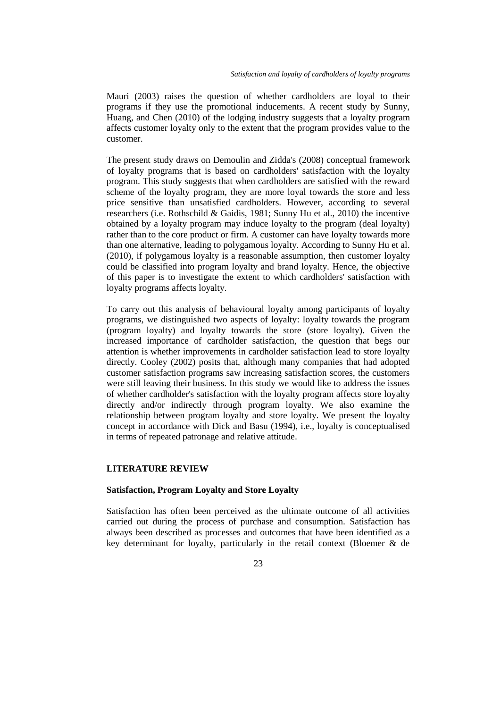Mauri (2003) raises the question of whether cardholders are loyal to their programs if they use the promotional inducements. A recent study by Sunny, Huang, and Chen (2010) of the lodging industry suggests that a loyalty program affects customer loyalty only to the extent that the program provides value to the customer.

The present study draws on Demoulin and Zidda's (2008) conceptual framework of loyalty programs that is based on cardholders' satisfaction with the loyalty program. This study suggests that when cardholders are satisfied with the reward scheme of the loyalty program, they are more loyal towards the store and less price sensitive than unsatisfied cardholders. However, according to several researchers (i.e. Rothschild & Gaidis, 1981; Sunny Hu et al., 2010) the incentive obtained by a loyalty program may induce loyalty to the program (deal loyalty) rather than to the core product or firm. A customer can have loyalty towards more than one alternative, leading to polygamous loyalty. According to Sunny Hu et al. (2010), if polygamous loyalty is a reasonable assumption, then customer loyalty could be classified into program loyalty and brand loyalty. Hence, the objective of this paper is to investigate the extent to which cardholders' satisfaction with loyalty programs affects loyalty.

To carry out this analysis of behavioural loyalty among participants of loyalty programs, we distinguished two aspects of loyalty: loyalty towards the program (program loyalty) and loyalty towards the store (store loyalty). Given the increased importance of cardholder satisfaction, the question that begs our attention is whether improvements in cardholder satisfaction lead to store loyalty directly. Cooley (2002) posits that, although many companies that had adopted customer satisfaction programs saw increasing satisfaction scores, the customers were still leaving their business. In this study we would like to address the issues of whether cardholder's satisfaction with the loyalty program affects store loyalty directly and/or indirectly through program loyalty. We also examine the relationship between program loyalty and store loyalty. We present the loyalty concept in accordance with Dick and Basu (1994), i.e., loyalty is conceptualised in terms of repeated patronage and relative attitude.

# **LITERATURE REVIEW**

# **Satisfaction, Program Loyalty and Store Loyalty**

Satisfaction has often been perceived as the ultimate outcome of all activities carried out during the process of purchase and consumption. Satisfaction has always been described as processes and outcomes that have been identified as a key determinant for loyalty, particularly in the retail context (Bloemer & de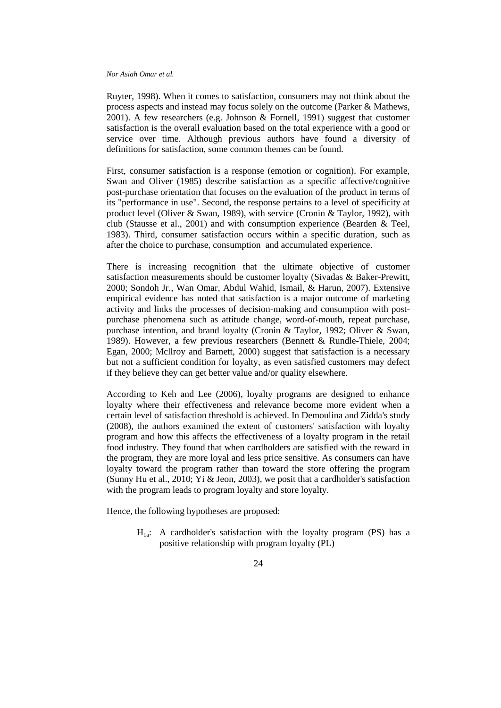Ruyter, 1998). When it comes to satisfaction, consumers may not think about the process aspects and instead may focus solely on the outcome (Parker & Mathews, 2001). A few researchers (e.g. Johnson & Fornell, 1991) suggest that customer satisfaction is the overall evaluation based on the total experience with a good or service over time. Although previous authors have found a diversity of definitions for satisfaction, some common themes can be found.

First, consumer satisfaction is a response (emotion or cognition). For example, Swan and Oliver (1985) describe satisfaction as a specific affective/cognitive post-purchase orientation that focuses on the evaluation of the product in terms of its "performance in use". Second, the response pertains to a level of specificity at product level (Oliver & Swan, 1989), with service (Cronin & Taylor, 1992), with club (Stausse et al., 2001) and with consumption experience (Bearden & Teel, 1983). Third, consumer satisfaction occurs within a specific duration, such as after the choice to purchase, consumption and accumulated experience.

There is increasing recognition that the ultimate objective of customer satisfaction measurements should be customer loyalty (Sivadas & Baker-Prewitt, 2000; Sondoh Jr., Wan Omar, Abdul Wahid, Ismail, & Harun, 2007). Extensive empirical evidence has noted that satisfaction is a major outcome of marketing activity and links the processes of decision-making and consumption with postpurchase phenomena such as attitude change, word-of-mouth, repeat purchase, purchase intention, and brand loyalty (Cronin & Taylor, 1992; Oliver & Swan, 1989). However, a few previous researchers (Bennett & Rundle-Thiele, 2004; Egan, 2000; Mcllroy and Barnett, 2000) suggest that satisfaction is a necessary but not a sufficient condition for loyalty, as even satisfied customers may defect if they believe they can get better value and/or quality elsewhere.

According to Keh and Lee (2006), loyalty programs are designed to enhance loyalty where their effectiveness and relevance become more evident when a certain level of satisfaction threshold is achieved. In Demoulina and Zidda's study (2008), the authors examined the extent of customers' satisfaction with loyalty program and how this affects the effectiveness of a loyalty program in the retail food industry. They found that when cardholders are satisfied with the reward in the program, they are more loyal and less price sensitive. As consumers can have loyalty toward the program rather than toward the store offering the program (Sunny Hu et al., 2010; Yi & Jeon, 2003), we posit that a cardholder's satisfaction with the program leads to program loyalty and store loyalty.

Hence, the following hypotheses are proposed:

 $H_{1a}$ : A cardholder's satisfaction with the loyalty program (PS) has a positive relationship with program loyalty (PL)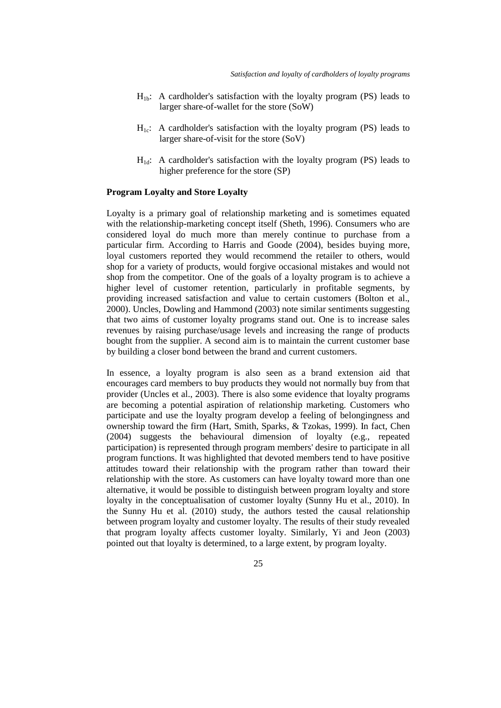- $H_{1b}$ : A cardholder's satisfaction with the loyalty program (PS) leads to larger share-of-wallet for the store (SoW)
- $H<sub>1c</sub>$ : A cardholder's satisfaction with the loyalty program (PS) leads to larger share-of-visit for the store (SoV)
- $H_{1d}$ : A cardholder's satisfaction with the loyalty program (PS) leads to higher preference for the store (SP)

# **Program Loyalty and Store Loyalty**

Loyalty is a primary goal of relationship marketing and is sometimes equated with the relationship-marketing concept itself (Sheth, 1996). Consumers who are considered loyal do much more than merely continue to purchase from a particular firm. According to Harris and Goode (2004), besides buying more, loyal customers reported they would recommend the retailer to others, would shop for a variety of products, would forgive occasional mistakes and would not shop from the competitor. One of the goals of a loyalty program is to achieve a higher level of customer retention, particularly in profitable segments, by providing increased satisfaction and value to certain customers (Bolton et al., 2000). Uncles, Dowling and Hammond (2003) note similar sentiments suggesting that two aims of customer loyalty programs stand out. One is to increase sales revenues by raising purchase/usage levels and increasing the range of products bought from the supplier. A second aim is to maintain the current customer base by building a closer bond between the brand and current customers.

In essence, a loyalty program is also seen as a brand extension aid that encourages card members to buy products they would not normally buy from that provider (Uncles et al., 2003). There is also some evidence that loyalty programs are becoming a potential aspiration of relationship marketing. Customers who participate and use the loyalty program develop a feeling of belongingness and ownership toward the firm (Hart, Smith, Sparks, & Tzokas, 1999). In fact, Chen (2004) suggests the behavioural dimension of loyalty (e.g., repeated participation) is represented through program members' desire to participate in all program functions. It was highlighted that devoted members tend to have positive attitudes toward their relationship with the program rather than toward their relationship with the store. As customers can have loyalty toward more than one alternative, it would be possible to distinguish between program loyalty and store loyalty in the conceptualisation of customer loyalty (Sunny Hu et al., 2010). In the Sunny Hu et al. (2010) study, the authors tested the causal relationship between program loyalty and customer loyalty. The results of their study revealed that program loyalty affects customer loyalty. Similarly, Yi and Jeon (2003) pointed out that loyalty is determined, to a large extent, by program loyalty.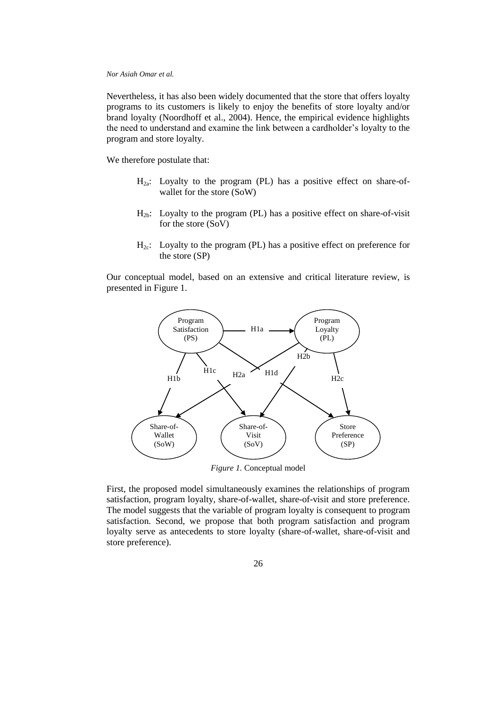Nevertheless, it has also been widely documented that the store that offers loyalty programs to its customers is likely to enjoy the benefits of store loyalty and/or brand loyalty (Noordhoff et al., 2004). Hence, the empirical evidence highlights the need to understand and examine the link between a cardholder's loyalty to the program and store loyalty.

We therefore postulate that:

- $H_{2a}$ : Loyalty to the program (PL) has a positive effect on share-ofwallet for the store (SoW)
- $H_{2b}$ : Loyalty to the program (PL) has a positive effect on share-of-visit for the store (SoV)
- $H_{2c}$ : Loyalty to the program (PL) has a positive effect on preference for the store (SP)

Our conceptual model, based on an extensive and critical literature review, is presented in Figure 1.



First, the proposed model simultaneously examines the relationships of program satisfaction, program loyalty, share-of-wallet, share-of-visit and store preference. The model suggests that the variable of program loyalty is consequent to program satisfaction. Second, we propose that both program satisfaction and program loyalty serve as antecedents to store loyalty (share-of-wallet, share-of-visit and store preference).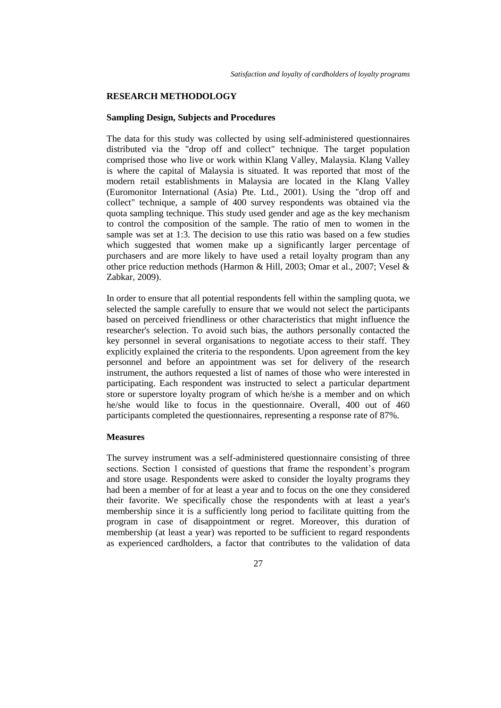## **RESEARCH METHODOLOGY**

## **Sampling Design, Subjects and Procedures**

The data for this study was collected by using self-administered questionnaires distributed via the "drop off and collect" technique. The target population comprised those who live or work within Klang Valley, Malaysia. Klang Valley is where the capital of Malaysia is situated. It was reported that most of the modern retail establishments in Malaysia are located in the Klang Valley (Euromonitor International (Asia) Pte. Ltd., 2001). Using the "drop off and collect" technique, a sample of 400 survey respondents was obtained via the quota sampling technique. This study used gender and age as the key mechanism to control the composition of the sample. The ratio of men to women in the sample was set at 1:3. The decision to use this ratio was based on a few studies which suggested that women make up a significantly larger percentage of purchasers and are more likely to have used a retail loyalty program than any other price reduction methods (Harmon & Hill, 2003; Omar et al., 2007; Vesel & Zabkar, 2009).

In order to ensure that all potential respondents fell within the sampling quota, we selected the sample carefully to ensure that we would not select the participants based on perceived friendliness or other characteristics that might influence the researcher's selection. To avoid such bias, the authors personally contacted the key personnel in several organisations to negotiate access to their staff. They explicitly explained the criteria to the respondents. Upon agreement from the key personnel and before an appointment was set for delivery of the research instrument, the authors requested a list of names of those who were interested in participating. Each respondent was instructed to select a particular department store or superstore loyalty program of which he/she is a member and on which he/she would like to focus in the questionnaire. Overall, 400 out of 460 participants completed the questionnaires, representing a response rate of 87%.

# **Measures**

The survey instrument was a self-administered questionnaire consisting of three sections. Section 1 consisted of questions that frame the respondent's program and store usage. Respondents were asked to consider the loyalty programs they had been a member of for at least a year and to focus on the one they considered their favorite. We specifically chose the respondents with at least a year's membership since it is a sufficiently long period to facilitate quitting from the program in case of disappointment or regret. Moreover, this duration of membership (at least a year) was reported to be sufficient to regard respondents as experienced cardholders, a factor that contributes to the validation of data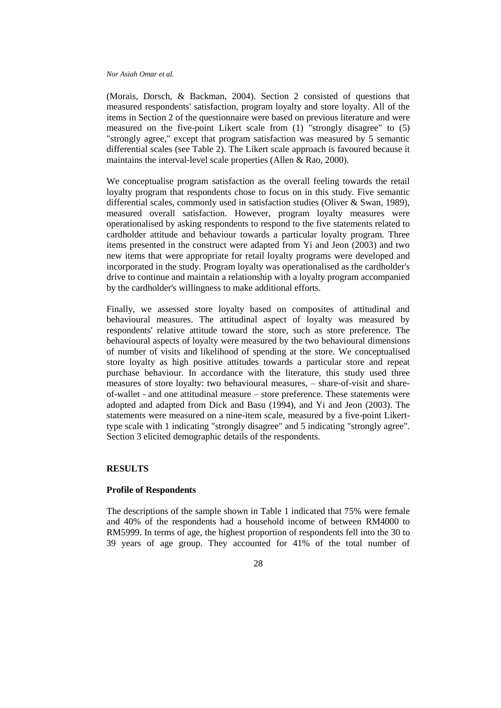(Morais, Dorsch, & Backman, 2004). Section 2 consisted of questions that measured respondents' satisfaction, program loyalty and store loyalty. All of the items in Section 2 of the questionnaire were based on previous literature and were measured on the five-point Likert scale from (1) "strongly disagree" to (5) "strongly agree," except that program satisfaction was measured by 5 semantic differential scales (see Table 2). The Likert scale approach is favoured because it maintains the interval-level scale properties (Allen & Rao, 2000).

We conceptualise program satisfaction as the overall feeling towards the retail loyalty program that respondents chose to focus on in this study. Five semantic differential scales, commonly used in satisfaction studies (Oliver & Swan, 1989), measured overall satisfaction. However, program loyalty measures were operationalised by asking respondents to respond to the five statements related to cardholder attitude and behaviour towards a particular loyalty program. Three items presented in the construct were adapted from Yi and Jeon (2003) and two new items that were appropriate for retail loyalty programs were developed and incorporated in the study. Program loyalty was operationalised as the cardholder's drive to continue and maintain a relationship with a loyalty program accompanied by the cardholder's willingness to make additional efforts.

Finally, we assessed store loyalty based on composites of attitudinal and behavioural measures. The attitudinal aspect of loyalty was measured by respondents' relative attitude toward the store, such as store preference. The behavioural aspects of loyalty were measured by the two behavioural dimensions of number of visits and likelihood of spending at the store. We conceptualised store loyalty as high positive attitudes towards a particular store and repeat purchase behaviour. In accordance with the literature, this study used three measures of store loyalty: two behavioural measures, – share-of-visit and shareof-wallet - and one attitudinal measure – store preference. These statements were adopted and adapted from Dick and Basu (1994), and Yi and Jeon (2003). The statements were measured on a nine-item scale, measured by a five-point Likerttype scale with 1 indicating "strongly disagree" and 5 indicating "strongly agree". Section 3 elicited demographic details of the respondents.

# **RESULTS**

# **Profile of Respondents**

The descriptions of the sample shown in Table 1 indicated that 75% were female and 40% of the respondents had a household income of between RM4000 to RM5999. In terms of age, the highest proportion of respondents fell into the 30 to 39 years of age group. They accounted for 41% of the total number of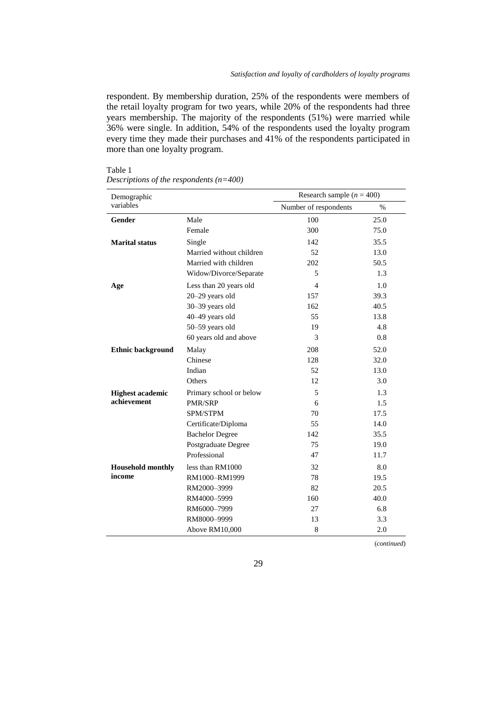respondent. By membership duration, 25% of the respondents were members of the retail loyalty program for two years, while 20% of the respondents had three years membership. The majority of the respondents (51%) were married while 36% were single. In addition, 54% of the respondents used the loyalty program every time they made their purchases and 41% of the respondents participated in more than one loyalty program.

| aп<br>ш |  |
|---------|--|
|         |  |

*Descriptions of the respondents (n=400)*

| Demographic              |                          | Research sample ( $n = 400$ ) |      |
|--------------------------|--------------------------|-------------------------------|------|
| variables                |                          | Number of respondents         | $\%$ |
| <b>Gender</b>            | Male                     | 100                           | 25.0 |
|                          | Female                   | 300                           | 75.0 |
| <b>Marital status</b>    | Single                   | 142                           | 35.5 |
|                          | Married without children | 52                            | 13.0 |
|                          | Married with children    | 202                           | 50.5 |
|                          | Widow/Divorce/Separate   | 5                             | 1.3  |
| Age                      | Less than 20 years old   | $\overline{4}$                | 1.0  |
|                          | 20-29 years old          | 157                           | 39.3 |
|                          | 30-39 years old          | 162                           | 40.5 |
|                          | 40-49 years old          | 55                            | 13.8 |
|                          | 50-59 years old          | 19                            | 4.8  |
|                          | 60 years old and above   | 3                             | 0.8  |
| <b>Ethnic background</b> | Malay                    | 208                           | 52.0 |
|                          | Chinese                  | 128                           | 32.0 |
|                          | Indian                   | 52                            | 13.0 |
|                          | Others                   | 12                            | 3.0  |
| <b>Highest academic</b>  | Primary school or below  | 5                             | 1.3  |
| achievement              | <b>PMR/SRP</b>           | 6                             | 1.5  |
|                          | SPM/STPM                 | 70                            | 17.5 |
|                          | Certificate/Diploma      | 55                            | 14.0 |
|                          | <b>Bachelor Degree</b>   | 142                           | 35.5 |
|                          | Postgraduate Degree      | 75                            | 19.0 |
|                          | Professional             | 47                            | 11.7 |
| <b>Household monthly</b> | less than RM1000         | 32                            | 8.0  |
| income                   | RM1000-RM1999            | 78                            | 19.5 |
|                          | RM2000-3999              | 82                            | 20.5 |
|                          | RM4000-5999              | 160                           | 40.0 |
|                          | RM6000-7999              | 27                            | 6.8  |
|                          | RM8000-9999              | 13                            | 3.3  |
|                          | Above RM10,000           | 8                             | 2.0  |

(*continued*)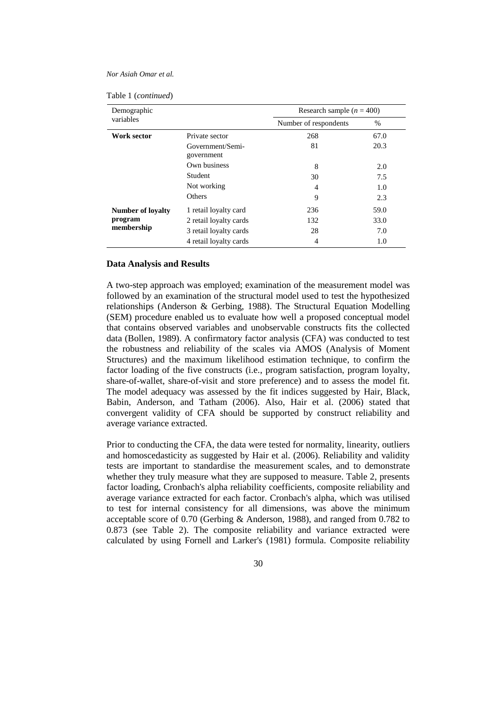|  | Table 1 (continued) |
|--|---------------------|
|--|---------------------|

| Demographic              |                                | Research sample $(n = 400)$ |      |  |
|--------------------------|--------------------------------|-----------------------------|------|--|
| variables                |                                | Number of respondents       | $\%$ |  |
| Work sector              | Private sector                 | 268                         | 67.0 |  |
|                          | Government/Semi-<br>government | 81                          | 20.3 |  |
|                          | Own business                   | 8                           | 2.0  |  |
|                          | Student                        | 30                          | 7.5  |  |
|                          | Not working                    | 4                           | 1.0  |  |
|                          | <b>Others</b>                  | 9                           | 2.3  |  |
| <b>Number of loyalty</b> | 1 retail loyalty card          | 236                         | 59.0 |  |
| program<br>membership    | 2 retail loyalty cards         | 132                         | 33.0 |  |
|                          | 3 retail loyalty cards         | 28                          | 7.0  |  |
|                          | 4 retail loyalty cards         | 4                           | 1.0  |  |

#### **Data Analysis and Results**

A two-step approach was employed; examination of the measurement model was followed by an examination of the structural model used to test the hypothesized relationships (Anderson & Gerbing, 1988). The Structural Equation Modelling (SEM) procedure enabled us to evaluate how well a proposed conceptual model that contains observed variables and unobservable constructs fits the collected data (Bollen, 1989). A confirmatory factor analysis (CFA) was conducted to test the robustness and reliability of the scales via AMOS (Analysis of Moment Structures) and the maximum likelihood estimation technique, to confirm the factor loading of the five constructs (i.e., program satisfaction, program loyalty, share-of-wallet, share-of-visit and store preference) and to assess the model fit. The model adequacy was assessed by the fit indices suggested by Hair, Black, Babin, Anderson, and Tatham (2006). Also, Hair et al. (2006) stated that convergent validity of CFA should be supported by construct reliability and average variance extracted.

Prior to conducting the CFA, the data were tested for normality, linearity, outliers and homoscedasticity as suggested by Hair et al. (2006). Reliability and validity tests are important to standardise the measurement scales, and to demonstrate whether they truly measure what they are supposed to measure. Table 2, presents factor loading, Cronbach's alpha reliability coefficients, composite reliability and average variance extracted for each factor. Cronbach's alpha, which was utilised to test for internal consistency for all dimensions, was above the minimum acceptable score of 0.70 (Gerbing & Anderson, 1988), and ranged from 0.782 to 0.873 (see Table 2). The composite reliability and variance extracted were calculated by using Fornell and Larker's (1981) formula. Composite reliability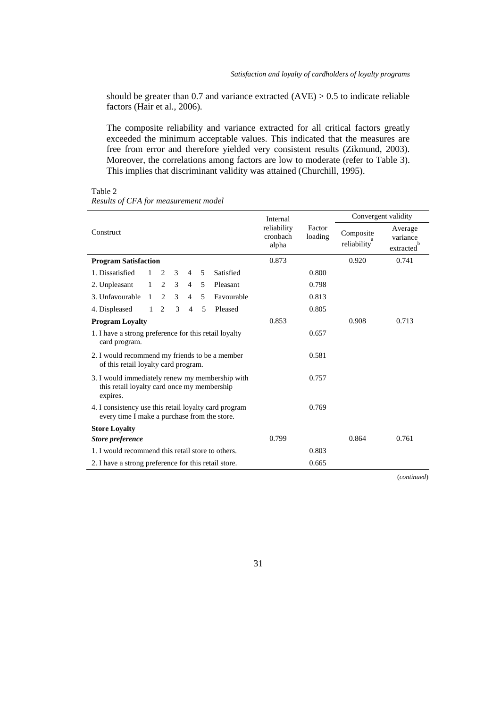should be greater than 0.7 and variance extracted  $(AVE) > 0.5$  to indicate reliable factors (Hair et al., 2006).

The composite reliability and variance extracted for all critical factors greatly exceeded the minimum acceptable values. This indicated that the measures are free from error and therefore yielded very consistent results (Zikmund, 2003). Moreover, the correlations among factors are low to moderate (refer to Table 3). This implies that discriminant validity was attained (Churchill, 1995).

|                                                                                                            |              | Internal |               | Convergent validity |   |            |                                  |                   |                          |                                  |
|------------------------------------------------------------------------------------------------------------|--------------|----------|---------------|---------------------|---|------------|----------------------------------|-------------------|--------------------------|----------------------------------|
| Construct                                                                                                  |              |          |               |                     |   |            | reliability<br>cronbach<br>alpha | Factor<br>loading | Composite<br>reliability | Average<br>variance<br>extracted |
| <b>Program Satisfaction</b>                                                                                |              |          |               |                     |   |            | 0.873                            |                   | 0.920                    | 0.741                            |
| 1. Dissatisfied                                                                                            | $\mathbf{1}$ | 2        | $\mathcal{E}$ | $\overline{4}$      | 5 | Satisfied  |                                  | 0.800             |                          |                                  |
| 2. Unpleasant                                                                                              | 1            | 2        | 3             | $\overline{4}$      | 5 | Pleasant   |                                  | 0.798             |                          |                                  |
| 3. Unfavourable                                                                                            | $\mathbf{1}$ | 2        | 3             | $\overline{4}$      | 5 | Favourable |                                  | 0.813             |                          |                                  |
| 4. Displeased                                                                                              | 1            | 2        | 3             | $\overline{4}$      | 5 | Pleased    |                                  | 0.805             |                          |                                  |
| <b>Program Loyalty</b>                                                                                     |              |          |               |                     |   |            | 0.853                            |                   | 0.908                    | 0.713                            |
| 1. I have a strong preference for this retail loyalty<br>card program.                                     |              |          |               |                     |   |            |                                  | 0.657             |                          |                                  |
| 2. I would recommend my friends to be a member<br>of this retail loyalty card program.                     |              |          |               |                     |   |            |                                  | 0.581             |                          |                                  |
| 3. I would immediately renew my membership with<br>this retail loyalty card once my membership<br>expires. |              |          |               |                     |   |            |                                  | 0.757             |                          |                                  |
| 4. I consistency use this retail loyalty card program<br>every time I make a purchase from the store.      |              |          |               |                     |   |            |                                  | 0.769             |                          |                                  |
| <b>Store Loyalty</b>                                                                                       |              |          |               |                     |   |            |                                  |                   |                          |                                  |
| <b>Store preference</b>                                                                                    |              |          |               |                     |   |            | 0.799                            |                   | 0.864                    | 0.761                            |
| 1. I would recommend this retail store to others.                                                          |              |          |               |                     |   |            |                                  | 0.803             |                          |                                  |
| 2. I have a strong preference for this retail store.                                                       |              |          |               |                     |   |            |                                  | 0.665             |                          |                                  |

Table 2 *Results of CFA for measurement model*

(*continued*)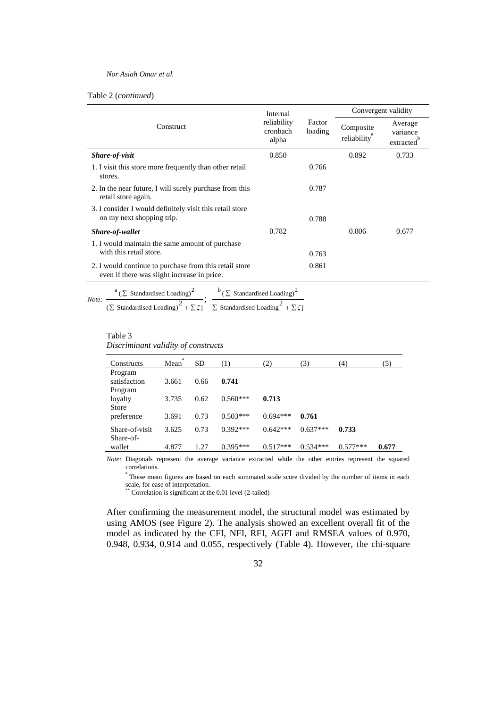## Table 2 (*continued*)

|                                                                                                       | Internal                         |                   | Convergent validity      |                                  |  |
|-------------------------------------------------------------------------------------------------------|----------------------------------|-------------------|--------------------------|----------------------------------|--|
| Construct                                                                                             | reliability<br>cronbach<br>alpha | Factor<br>loading | Composite<br>reliability | Average<br>variance<br>extracted |  |
| Share-of-visit                                                                                        | 0.850                            |                   | 0.892                    | 0.733                            |  |
| 1. I visit this store more frequently than other retail<br>stores.                                    |                                  | 0.766             |                          |                                  |  |
| 2. In the near future, I will surely purchase from this<br>retail store again.                        |                                  | 0.787             |                          |                                  |  |
| 3. I consider I would definitely visit this retail store<br>on my next shopping trip.                 |                                  | 0.788             |                          |                                  |  |
| Share-of-wallet                                                                                       | 0.782                            |                   | 0.806                    | 0.677                            |  |
| 1. I would maintain the same amount of purchase<br>with this retail store.                            |                                  | 0.763             |                          |                                  |  |
| 2. I would continue to purchase from this retail store<br>even if there was slight increase in price. |                                  | 0.861             |                          |                                  |  |

*Note:*   $\ ^{b}\left( \sum$  Standardised Loading)<sup>2</sup>  $\frac{a}{(\sum \text{Standardised Loading})^2}$ ;  $\frac{b}{(\sum \text{Standardised Loading})^2}$ <br>( $\sum \text{Standardised Loading}$ )  $\frac{b}{(\sum \text{Standardised Loading})^2}$   $\frac{1}{(\sum \text{Standardised Loading})^2}$  $a(\Sigma \text{ Standardised Loading})^2$ 

# Table 3

*Discriminant validity of constructs*

| Constructs     | a<br>Mean | <b>SD</b> | (1)        | (2)        | (3)        | (4)        | (5)   |
|----------------|-----------|-----------|------------|------------|------------|------------|-------|
| Program        |           |           |            |            |            |            |       |
| satisfaction   | 3.661     | 0.66      | 0.741      |            |            |            |       |
| Program        |           |           |            |            |            |            |       |
| loyalty        | 3.735     | 0.62      | $0.560***$ | 0.713      |            |            |       |
| Store          |           |           |            |            |            |            |       |
| preference     | 3.691     | 0.73      | $0.503***$ | $0.694***$ | 0.761      |            |       |
| Share-of-visit | 3.625     | 0.73      | $0.392***$ | $0.642***$ | $0.637***$ | 0.733      |       |
| Share-of-      |           |           |            |            |            |            |       |
| wallet         | 4.877     | 1.27      | $0.395***$ | $0.517***$ | $0.534***$ | $0.577***$ | 0.677 |

*Note:* Diagonals represent the average variance extracted while the other entries represent the squared correlations.

a These mean figures are based on each summated scale score divided by the number of items in each scale, for ease of interpretation.

\*\* Correlation is significant at the 0.01 level (2-tailed)

After confirming the measurement model, the structural model was estimated by using AMOS (see Figure 2). The analysis showed an excellent overall fit of the model as indicated by the CFI, NFI, RFI, AGFI and RMSEA values of 0.970, 0.948, 0.934, 0.914 and 0.055, respectively (Table 4). However, the chi-square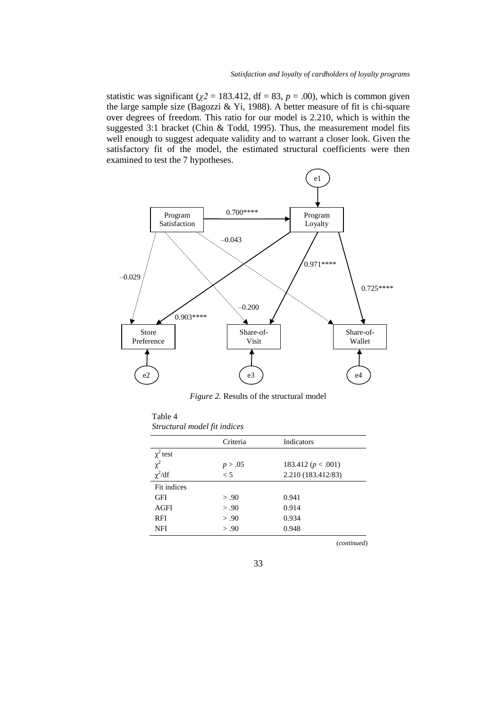statistic was significant ( $\chi$ <sup>2</sup> = 183.412, df = 83, *p* = .00), which is common given the large sample size (Bagozzi & Yi, 1988). A better measure of fit is chi-square over degrees of freedom. This ratio for our model is 2.210, which is within the suggested 3:1 bracket (Chin & Todd, 1995). Thus, the measurement model fits well enough to suggest adequate validity and to warrant a closer look. Given the satisfactory fit of the model, the estimated structural coefficients were then examined to test the 7 hypotheses.



*Figure 2.* Results of the structural model

| 1 apie 4                     |  |
|------------------------------|--|
| Structural model fit indices |  |

 $T = 1 + 4$ 

|               | Criteria | Indicators             |
|---------------|----------|------------------------|
| $\chi^2$ test |          |                        |
| $\chi^2$      | p > .05  | 183.412 ( $p < .001$ ) |
| $\chi^2/df$   | $\lt 5$  | 2.210 (183.412/83)     |
| Fit indices   |          |                        |
| <b>GFI</b>    | > .90    | 0.941                  |
| AGFI          | > .90    | 0.914                  |
| RFI           | > .90    | 0.934                  |
| NFI           | > .90    | 0.948                  |

(*continued*)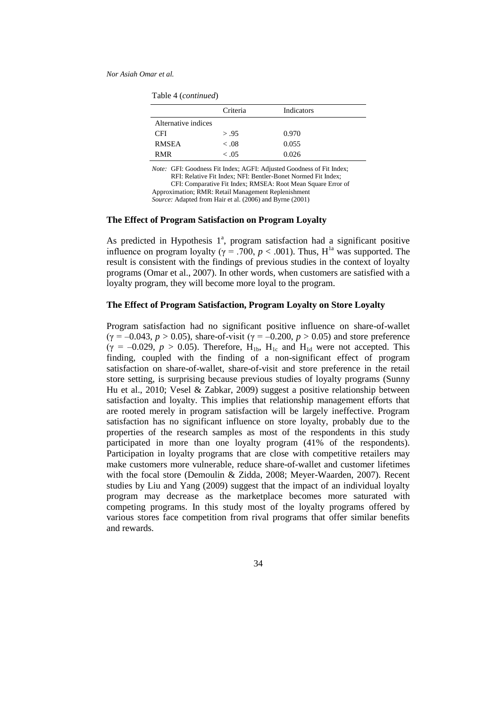| Table 4 (continued) |  |
|---------------------|--|
|---------------------|--|

|                     | Criteria | Indicators |
|---------------------|----------|------------|
| Alternative indices |          |            |
| <b>CFI</b>          | > .95    | 0.970      |
| <b>RMSEA</b>        | < .08    | 0.055      |
| <b>RMR</b>          | $-.05$   | 0.026      |

*Note:* GFI: Goodness Fit Index; AGFI: Adjusted Goodness of Fit Index;

RFI: Relative Fit Index; NFI: Bentler-Bonet Normed Fit Index;

CFI: Comparative Fit Index; RMSEA: Root Mean Square Error of

Approximation; RMR: Retail Management Replenishment

*Source:* Adapted from Hair et al. (2006) and Byrne (2001)

## **The Effect of Program Satisfaction on Program Loyalty**

As predicted in Hypothesis  $1^a$ , program satisfaction had a significant positive influence on program loyalty ( $\gamma$  = .700,  $p < .001$ ). Thus, H<sup>1a</sup> was supported. The result is consistent with the findings of previous studies in the context of loyalty programs (Omar et al., 2007). In other words, when customers are satisfied with a loyalty program, they will become more loyal to the program.

## **The Effect of Program Satisfaction, Program Loyalty on Store Loyalty**

Program satisfaction had no significant positive influence on share-of-wallet (γ = –0.043, *p* > 0.05), share-of-visit (γ = –0.200, *p* > 0.05) and store preference ( $\gamma = -0.029$ ,  $p > 0.05$ ). Therefore, H<sub>1b</sub>, H<sub>1c</sub> and H<sub>1d</sub> were not accepted. This finding, coupled with the finding of a non-significant effect of program satisfaction on share-of-wallet, share-of-visit and store preference in the retail store setting, is surprising because previous studies of loyalty programs (Sunny Hu et al., 2010; Vesel & Zabkar, 2009) suggest a positive relationship between satisfaction and loyalty. This implies that relationship management efforts that are rooted merely in program satisfaction will be largely ineffective. Program satisfaction has no significant influence on store loyalty, probably due to the properties of the research samples as most of the respondents in this study participated in more than one loyalty program (41% of the respondents). Participation in loyalty programs that are close with competitive retailers may make customers more vulnerable, reduce share-of-wallet and customer lifetimes with the focal store (Demoulin & Zidda, 2008; Meyer-Waarden, 2007). Recent studies by Liu and Yang (2009) suggest that the impact of an individual loyalty program may decrease as the marketplace becomes more saturated with competing programs. In this study most of the loyalty programs offered by various stores face competition from rival programs that offer similar benefits and rewards.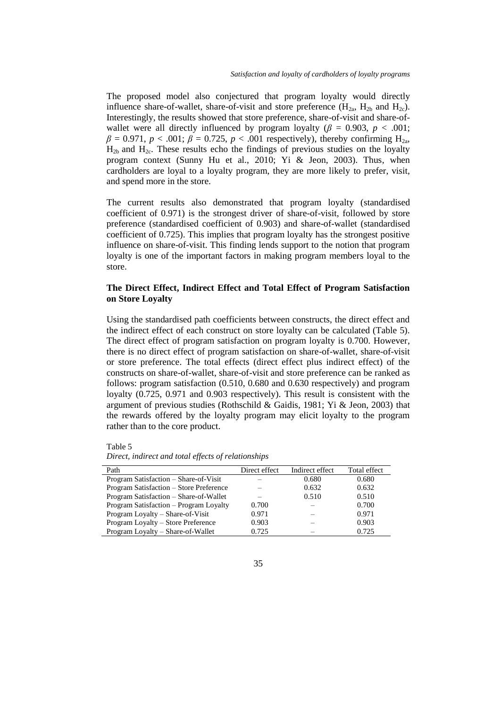The proposed model also conjectured that program loyalty would directly influence share-of-wallet, share-of-visit and store preference  $(H_{2a}, H_{2b}$  and  $H_{2c})$ . Interestingly, the results showed that store preference, share-of-visit and share-ofwallet were all directly influenced by program loyalty ( $\beta$  = 0.903,  $p$  < .001;  $\beta = 0.971$ ,  $p < .001$ ;  $\beta = 0.725$ ,  $p < .001$  respectively), thereby confirming H<sub>2a</sub>,  $H_{2h}$  and  $H_{2c}$ . These results echo the findings of previous studies on the loyalty program context (Sunny Hu et al., 2010; Yi & Jeon, 2003). Thus, when cardholders are loyal to a loyalty program, they are more likely to prefer, visit, and spend more in the store.

The current results also demonstrated that program loyalty (standardised coefficient of 0.971) is the strongest driver of share-of-visit, followed by store preference (standardised coefficient of 0.903) and share-of-wallet (standardised coefficient of 0.725). This implies that program loyalty has the strongest positive influence on share-of-visit. This finding lends support to the notion that program loyalty is one of the important factors in making program members loyal to the store.

# **The Direct Effect, Indirect Effect and Total Effect of Program Satisfaction on Store Loyalty**

Using the standardised path coefficients between constructs, the direct effect and the indirect effect of each construct on store loyalty can be calculated (Table 5). The direct effect of program satisfaction on program loyalty is 0.700. However, there is no direct effect of program satisfaction on share-of-wallet, share-of-visit or store preference. The total effects (direct effect plus indirect effect) of the constructs on share-of-wallet, share-of-visit and store preference can be ranked as follows: program satisfaction (0.510, 0.680 and 0.630 respectively) and program loyalty (0.725, 0.971 and 0.903 respectively). This result is consistent with the argument of previous studies (Rothschild & Gaidis, 1981; Yi & Jeon, 2003) that the rewards offered by the loyalty program may elicit loyalty to the program rather than to the core product.

Table 5

*Direct, indirect and total effects of relationships*

| Path                                    | Direct effect | Indirect effect | Total effect |
|-----------------------------------------|---------------|-----------------|--------------|
| Program Satisfaction – Share-of-Visit   |               | 0.680           | 0.680        |
| Program Satisfaction – Store Preference |               | 0.632           | 0.632        |
| Program Satisfaction - Share-of-Wallet  |               | 0.510           | 0.510        |
| Program Satisfaction – Program Loyalty  | 0.700         |                 | 0.700        |
| Program Loyalty - Share-of-Visit        | 0.971         |                 | 0.971        |
| Program Loyalty - Store Preference      | 0.903         |                 | 0.903        |
| Program Loyalty - Share-of-Wallet       | 0.725         |                 | 0.725        |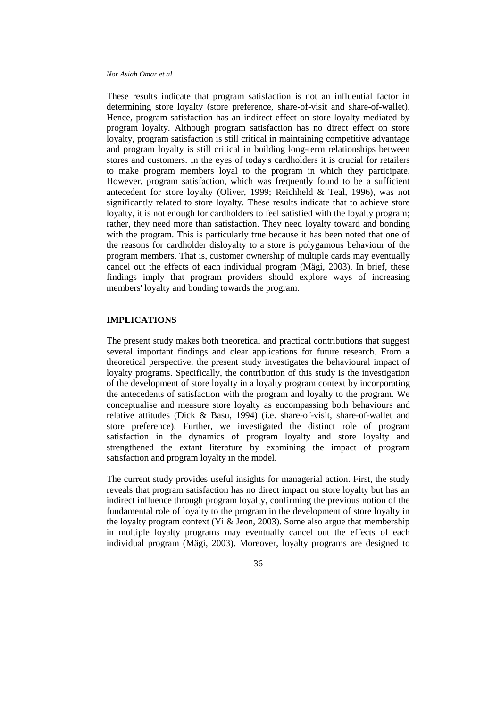These results indicate that program satisfaction is not an influential factor in determining store loyalty (store preference, share-of-visit and share-of-wallet). Hence, program satisfaction has an indirect effect on store loyalty mediated by program loyalty. Although program satisfaction has no direct effect on store loyalty, program satisfaction is still critical in maintaining competitive advantage and program loyalty is still critical in building long-term relationships between stores and customers. In the eyes of today's cardholders it is crucial for retailers to make program members loyal to the program in which they participate. However, program satisfaction, which was frequently found to be a sufficient antecedent for store loyalty (Oliver, 1999; Reichheld & Teal, 1996), was not significantly related to store loyalty. These results indicate that to achieve store loyalty, it is not enough for cardholders to feel satisfied with the loyalty program; rather, they need more than satisfaction. They need loyalty toward and bonding with the program. This is particularly true because it has been noted that one of the reasons for cardholder disloyalty to a store is polygamous behaviour of the program members. That is, customer ownership of multiple cards may eventually cancel out the effects of each individual program (Mägi, 2003). In brief, these findings imply that program providers should explore ways of increasing members' loyalty and bonding towards the program.

# **IMPLICATIONS**

The present study makes both theoretical and practical contributions that suggest several important findings and clear applications for future research. From a theoretical perspective, the present study investigates the behavioural impact of loyalty programs. Specifically, the contribution of this study is the investigation of the development of store loyalty in a loyalty program context by incorporating the antecedents of satisfaction with the program and loyalty to the program. We conceptualise and measure store loyalty as encompassing both behaviours and relative attitudes (Dick & Basu, 1994) (i.e. share-of-visit, share-of-wallet and store preference). Further, we investigated the distinct role of program satisfaction in the dynamics of program loyalty and store loyalty and strengthened the extant literature by examining the impact of program satisfaction and program loyalty in the model.

The current study provides useful insights for managerial action. First, the study reveals that program satisfaction has no direct impact on store loyalty but has an indirect influence through program loyalty, confirming the previous notion of the fundamental role of loyalty to the program in the development of store loyalty in the loyalty program context (Yi & Jeon, 2003). Some also argue that membership in multiple loyalty programs may eventually cancel out the effects of each individual program (Mägi, 2003). Moreover, loyalty programs are designed to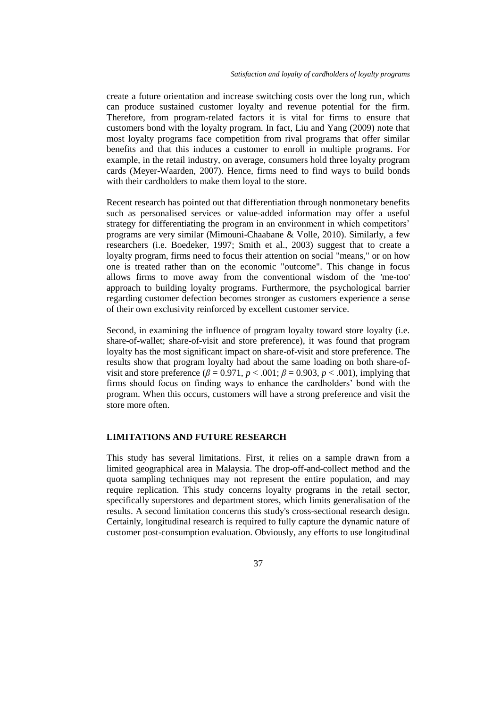create a future orientation and increase switching costs over the long run, which can produce sustained customer loyalty and revenue potential for the firm. Therefore, from program-related factors it is vital for firms to ensure that customers bond with the loyalty program. In fact, Liu and Yang (2009) note that most loyalty programs face competition from rival programs that offer similar benefits and that this induces a customer to enroll in multiple programs. For example, in the retail industry, on average, consumers hold three loyalty program cards (Meyer-Waarden, 2007). Hence, firms need to find ways to build bonds with their cardholders to make them loyal to the store.

Recent research has pointed out that differentiation through nonmonetary benefits such as personalised services or value-added information may offer a useful strategy for differentiating the program in an environment in which competitors' programs are very similar (Mimouni-Chaabane & Volle, 2010). Similarly, a few researchers (i.e. Boedeker, 1997; Smith et al., 2003) suggest that to create a loyalty program, firms need to focus their attention on social "means," or on how one is treated rather than on the economic "outcome". This change in focus allows firms to move away from the conventional wisdom of the 'me-too' approach to building loyalty programs. Furthermore, the psychological barrier regarding customer defection becomes stronger as customers experience a sense of their own exclusivity reinforced by excellent customer service.

Second, in examining the influence of program loyalty toward store loyalty (i.e. share-of-wallet; share-of-visit and store preference), it was found that program loyalty has the most significant impact on share-of-visit and store preference. The results show that program loyalty had about the same loading on both share-ofvisit and store preference  $(\beta = 0.971, p < .001; \beta = 0.903, p < .001)$ , implying that firms should focus on finding ways to enhance the cardholders' bond with the program. When this occurs, customers will have a strong preference and visit the store more often.

# **LIMITATIONS AND FUTURE RESEARCH**

This study has several limitations. First, it relies on a sample drawn from a limited geographical area in Malaysia. The drop-off-and-collect method and the quota sampling techniques may not represent the entire population, and may require replication. This study concerns loyalty programs in the retail sector, specifically superstores and department stores, which limits generalisation of the results. A second limitation concerns this study's cross-sectional research design. Certainly, longitudinal research is required to fully capture the dynamic nature of customer post-consumption evaluation. Obviously, any efforts to use longitudinal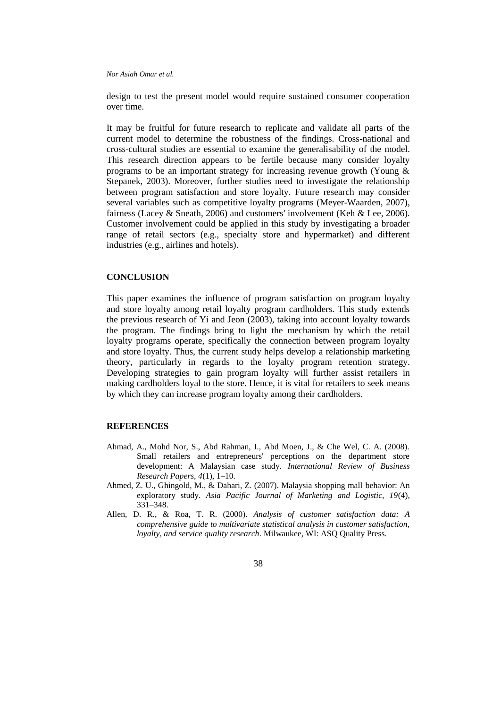design to test the present model would require sustained consumer cooperation over time.

It may be fruitful for future research to replicate and validate all parts of the current model to determine the robustness of the findings. Cross-national and cross-cultural studies are essential to examine the generalisability of the model. This research direction appears to be fertile because many consider loyalty programs to be an important strategy for increasing revenue growth (Young & Stepanek, 2003). Moreover, further studies need to investigate the relationship between program satisfaction and store loyalty. Future research may consider several variables such as competitive loyalty programs (Meyer-Waarden, 2007), fairness (Lacey & Sneath, 2006) and customers' involvement (Keh & Lee, 2006). Customer involvement could be applied in this study by investigating a broader range of retail sectors (e.g., specialty store and hypermarket) and different industries (e.g., airlines and hotels).

# **CONCLUSION**

This paper examines the influence of program satisfaction on program loyalty and store loyalty among retail loyalty program cardholders. This study extends the previous research of Yi and Jeon (2003), taking into account loyalty towards the program. The findings bring to light the mechanism by which the retail loyalty programs operate, specifically the connection between program loyalty and store loyalty. Thus, the current study helps develop a relationship marketing theory, particularly in regards to the loyalty program retention strategy. Developing strategies to gain program loyalty will further assist retailers in making cardholders loyal to the store. Hence, it is vital for retailers to seek means by which they can increase program loyalty among their cardholders.

## **REFERENCES**

- Ahmad, A., Mohd Nor, S., Abd Rahman, I., Abd Moen, J., & Che Wel, C. A. (2008). Small retailers and entrepreneurs' perceptions on the department store development: A Malaysian case study. *International Review of Business Research Papers, 4*(1), 1–10.
- Ahmed, Z. U., Ghingold, M., & Dahari, Z. (2007). Malaysia shopping mall behavior: An exploratory study. *Asia Pacific Journal of Marketing and Logistic, 19*(4), 331–348.
- Allen, D. R., & Roa, T. R. (2000). *Analysis of customer satisfaction data: A comprehensive guide to multivariate statistical analysis in customer satisfaction, loyalty, and service quality research*. Milwaukee, WI: ASQ Quality Press.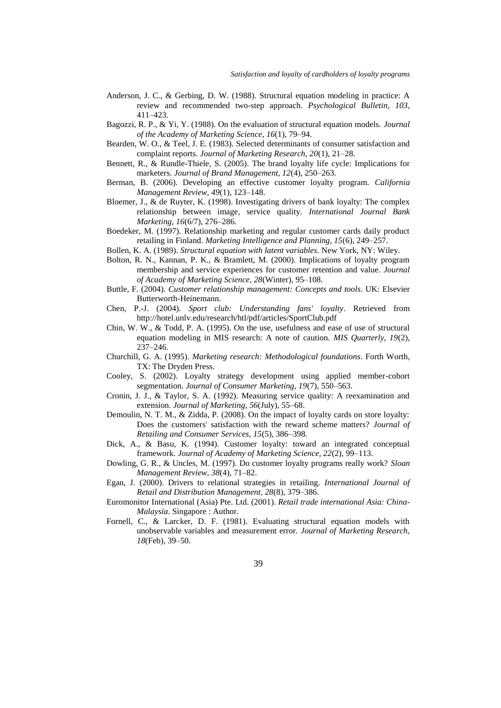- Anderson, J. C., & Gerbing, D. W. (1988). Structural equation modeling in practice: A review and recommended two-step approach. *Psychological Bulletin, 103*, 411–423.
- Bagozzi, R. P., & Yi, Y. (1988). On the evaluation of structural equation models. *Journal of the Academy of Marketing Science, 16*(1), 79–94.
- Bearden, W. O., & Teel, J. E. (1983). Selected determinants of consumer satisfaction and complaint reports. *Journal of Marketing Research, 20*(1), 21–28.
- Bennett, R., & Rundle-Thiele, S. (2005). The brand loyalty life cycle: Implications for marketers. *Journal of Brand Management, 12*(4), 250–263.
- Berman, B. (2006). Developing an effective customer loyalty program. *California Management Review, 49*(1), 123–148.
- Bloemer, J., & de Ruyter, K. (1998). Investigating drivers of bank loyalty: The complex relationship between image, service quality. *International Journal Bank Marketing, 16*(6/7), 276–286.
- Boedeker, M. (1997). Relationship marketing and regular customer cards daily product retailing in Finland. *Marketing Intelligence and Planning, 15*(6), 249–257.
- Bollen, K. A. (1989). *Structural equation with latent variables*. New York, NY: Wiley.
- Bolton, R. N., Kannan, P. K., & Bramlett, M. (2000). Implications of loyalty program membership and service experiences for customer retention and value. *Journal of Academy of Marketing Science, 28*(Winter), 95–108.
- Buttle, F. (2004). *Customer relationship management: Concepts and tools*. UK: Elsevier Butterworth-Heinemann.
- Chen, P.-J. (2004). *Sport club: Understanding fans' loyalty*. Retrieved from http://hotel.unlv.edu/research/htl/pdf/articles/SportClub.pdf
- Chin, W. W., & Todd, P. A. (1995). On the use, usefulness and ease of use of structural equation modeling in MIS research: A note of caution. *MIS Quarterly, 19*(2), 237–246.
- Churchill, G. A. (1995). *Marketing research: Methodological foundations*. Forth Worth, TX: The Dryden Press.
- Cooley, S. (2002). Loyalty strategy development using applied member-cohort segmentation. *Journal of Consumer Marketing, 19*(7), 550–563.
- Cronin, J. J., & Taylor, S. A. (1992). Measuring service quality: A reexamination and extension. *Journal of Marketing, 56*(July), 55–68.
- Demoulin, N. T. M., & Zidda, P. (2008). On the impact of loyalty cards on store loyalty: Does the customers' satisfaction with the reward scheme matters? *Journal of Retailing and Consumer Services, 15*(5), 386–398.
- Dick, A., & Basu, K. (1994). Customer loyalty: toward an integrated conceptual framework. *Journal of Academy of Marketing Science, 22*(2), 99–113.
- Dowling, G. R., & Uncles, M. (1997). Do customer loyalty programs really work? *Sloan Management Review, 38*(4), 71–82.
- Egan, J. (2000). Drivers to relational strategies in retailing. *International Journal of Retail and Distribution Management, 28*(8), 379–386.
- Euromonitor International (Asia) Pte. Ltd. (2001). *Retail trade international Asia: China-Malaysia*. Singapore : Author.
- Fornell, C., & Larcker, D. F. (1981). Evaluating structural equation models with unobservable variables and measurement error. *Journal of Marketing Research, 18*(Feb), 39–50.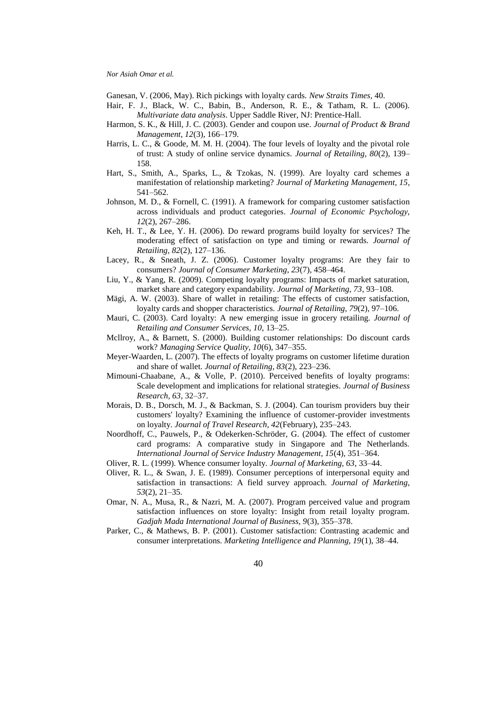Ganesan, V. (2006, May). Rich pickings with loyalty cards*. New Straits Times,* 40.

- Hair, F. J., Black, W. C., Babin, B., Anderson, R. E., & Tatham, R. L. (2006). *Multivariate data analysis*. Upper Saddle River, NJ: Prentice-Hall.
- Harmon, S. K., & Hill, J. C. (2003). Gender and coupon use. *Journal of Product & Brand Management, 12*(3), 166–179.
- Harris, L. C., & Goode, M. M. H. (2004). The four levels of loyalty and the pivotal role of trust: A study of online service dynamics. *Journal of Retailing, 80*(2), 139– 158.
- Hart, S., Smith, A., Sparks, L., & Tzokas, N. (1999). Are loyalty card schemes a manifestation of relationship marketing? *Journal of Marketing Management, 15*, 541–562.
- Johnson, M. D., & Fornell, C. (1991). A framework for comparing customer satisfaction across individuals and product categories. *Journal of Economic Psychology, 12*(2), 267–286.
- Keh, H. T., & Lee, Y. H. (2006). Do reward programs build loyalty for services? The moderating effect of satisfaction on type and timing or rewards. *Journal of Retailing, 82*(2), 127–136.
- Lacey, R., & Sneath, J. Z. (2006). Customer loyalty programs: Are they fair to consumers? *Journal of Consumer Marketing, 23*(7), 458–464.
- Liu, Y., & Yang, R. (2009). Competing loyalty programs: Impacts of market saturation, market share and category expandability. *Journal of Marketing, 73*, 93–108.
- Mägi, A. W. (2003). Share of wallet in retailing: The effects of customer satisfaction, loyalty cards and shopper characteristics. *Journal of Retailing, 79*(2), 97–106.
- Mauri, C. (2003). Card loyalty: A new emerging issue in grocery retailing. *Journal of Retailing and Consumer Services, 10*, 13–25.
- Mcllroy, A., & Barnett, S. (2000). Building customer relationships: Do discount cards work? *Managing Service Quality, 10*(6), 347–355.
- Meyer-Waarden, L. (2007). The effects of loyalty programs on customer lifetime duration and share of wallet. *Journal of Retailing, 83*(2), 223–236.
- Mimouni-Chaabane, A., & Volle, P. (2010). Perceived benefits of loyalty programs: Scale development and implications for relational strategies. *Journal of Business Research, 63*, 32–37.
- Morais, D. B., Dorsch, M. J., & Backman, S. J. (2004). Can tourism providers buy their customers' loyalty? Examining the influence of customer-provider investments on loyalty. *Journal of Travel Research, 42*(February), 235–243.
- Noordhoff, C., Pauwels, P., & Odekerken-Schröder, G. (2004). The effect of customer card programs: A comparative study in Singapore and The Netherlands. *International Journal of Service Industry Management, 15*(4), 351–364.
- Oliver, R. L. (1999). Whence consumer loyalty. *Journal of Marketing, 63*, 33–44.
- Oliver, R. L., & Swan, J. E. (1989). Consumer perceptions of interpersonal equity and satisfaction in transactions: A field survey approach. *Journal of Marketing, 53*(2), 21–35.
- Omar, N. A., Musa, R., & Nazri, M. A. (2007). Program perceived value and program satisfaction influences on store loyalty: Insight from retail loyalty program. *Gadjah Mada International Journal of Business, 9*(3), 355–378.
- Parker, C., & Mathews, B. P. (2001). Customer satisfaction: Contrasting academic and consumer interpretations. *Marketing Intelligence and Planning, 19*(1), 38–44.